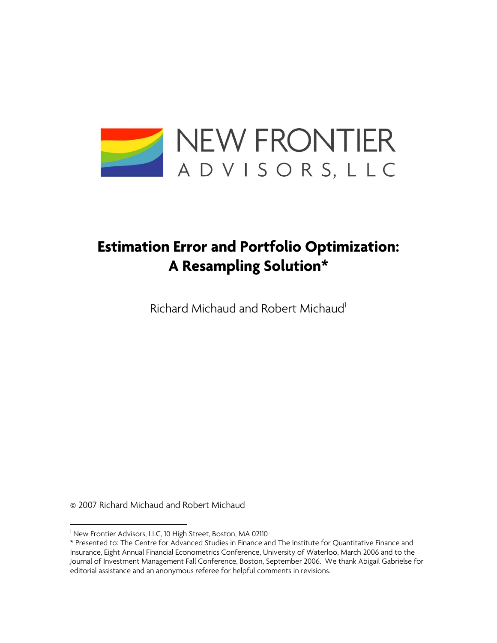

# **Estimation Error and Portfolio Optimization: A Resampling Solution\***

Richard Michaud and Robert Michaud<sup>1</sup>

© 2007 Richard Michaud and Robert Michaud

 $\overline{a}$ <sup>1</sup> New Frontier Advisors, LLC, 10 High Street, Boston, MA 02110

<sup>\*</sup> Presented to: The Centre for Advanced Studies in Finance and The Institute for Quantitative Finance and Insurance, Eight Annual Financial Econometrics Conference, University of Waterloo, March 2006 and to the Journal of Investment Management Fall Conference, Boston, September 2006. We thank Abigail Gabrielse for editorial assistance and an anonymous referee for helpful comments in revisions.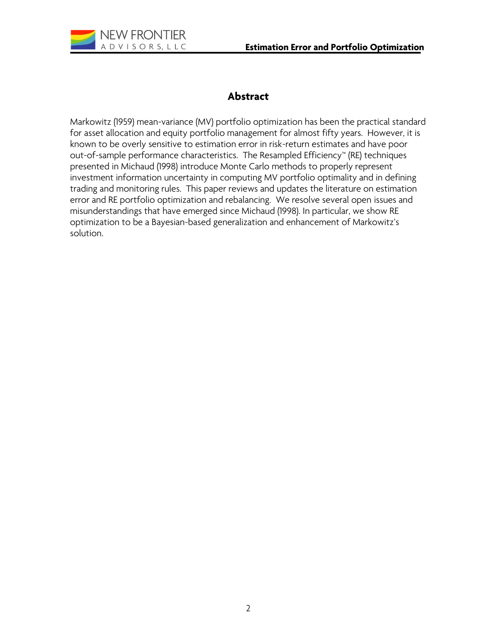

# **Abstract**

Markowitz (1959) mean-variance (MV) portfolio optimization has been the practical standard for asset allocation and equity portfolio management for almost fifty years. However, it is known to be overly sensitive to estimation error in risk-return estimates and have poor out-of-sample performance characteristics. The Resampled Efficiency™ (RE) techniques presented in Michaud (1998) introduce Monte Carlo methods to properly represent investment information uncertainty in computing MV portfolio optimality and in defining trading and monitoring rules. This paper reviews and updates the literature on estimation error and RE portfolio optimization and rebalancing. We resolve several open issues and misunderstandings that have emerged since Michaud (1998). In particular, we show RE optimization to be a Bayesian-based generalization and enhancement of Markowitz's solution.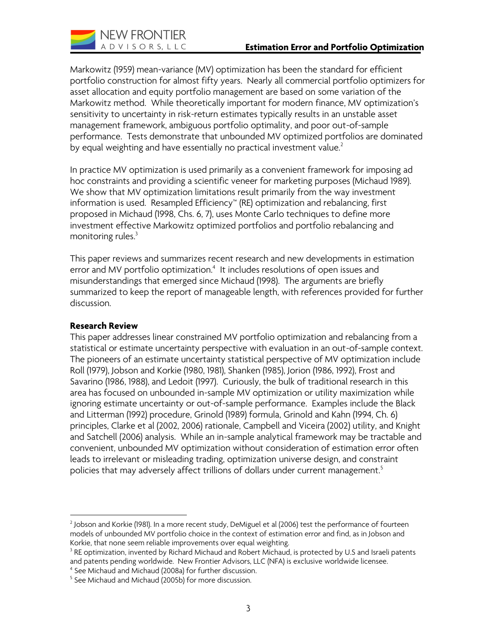

Markowitz (1959) mean-variance (MV) optimization has been the standard for efficient portfolio construction for almost fifty years. Nearly all commercial portfolio optimizers for asset allocation and equity portfolio management are based on some variation of the Markowitz method. While theoretically important for modern finance, MV optimization's sensitivity to uncertainty in risk-return estimates typically results in an unstable asset management framework, ambiguous portfolio optimality, and poor out-of-sample performance. Tests demonstrate that unbounded MV optimized portfolios are dominated by equal weighting and have essentially no practical investment value. $^2$ 

In practice MV optimization is used primarily as a convenient framework for imposing ad hoc constraints and providing a scientific veneer for marketing purposes (Michaud 1989). We show that MV optimization limitations result primarily from the way investment information is used. Resampled Efficiency™ (RE) optimization and rebalancing, first proposed in Michaud (1998, Chs. 6, 7), uses Monte Carlo techniques to define more investment effective Markowitz optimized portfolios and portfolio rebalancing and monitoring rules.<sup>3</sup>

This paper reviews and summarizes recent research and new developments in estimation error and MV portfolio optimization.<sup>4</sup> It includes resolutions of open issues and misunderstandings that emerged since Michaud (1998). The arguments are briefly summarized to keep the report of manageable length, with references provided for further discussion.

#### **Research Review**

 $\overline{a}$ 

This paper addresses linear constrained MV portfolio optimization and rebalancing from a statistical or estimate uncertainty perspective with evaluation in an out-of-sample context. The pioneers of an estimate uncertainty statistical perspective of MV optimization include Roll (1979), Jobson and Korkie (1980, 1981), Shanken (1985), Jorion (1986, 1992), Frost and Savarino (1986, 1988), and Ledoit (1997). Curiously, the bulk of traditional research in this area has focused on unbounded in-sample MV optimization or utility maximization while ignoring estimate uncertainty or out-of-sample performance. Examples include the Black and Litterman (1992) procedure, Grinold (1989) formula, Grinold and Kahn (1994, Ch. 6) principles, Clarke et al (2002, 2006) rationale, Campbell and Viceira (2002) utility, and Knight and Satchell (2006) analysis. While an in-sample analytical framework may be tractable and convenient, unbounded MV optimization without consideration of estimation error often leads to irrelevant or misleading trading, optimization universe design, and constraint policies that may adversely affect trillions of dollars under current management.<sup>5</sup>

 $^2$  Jobson and Korkie (1981). In a more recent study, DeMiguel et al (2006) test the performance of fourteen models of unbounded MV portfolio choice in the context of estimation error and find, as in Jobson and Korkie, that none seem reliable improvements over equal weighting.

<sup>&</sup>lt;sup>3</sup> RE optimization, invented by Richard Michaud and Robert Michaud, is protected by U.S and Israeli patents and patents pending worldwide. New Frontier Advisors, LLC (NFA) is exclusive worldwide licensee.

<sup>4</sup> See Michaud and Michaud (2008a) for further discussion.

<sup>&</sup>lt;sup>5</sup> See Michaud and Michaud (2005b) for more discussion.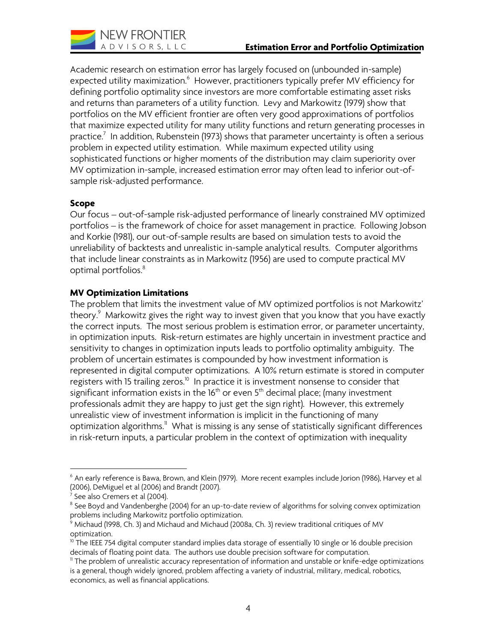Academic research on estimation error has largely focused on (unbounded in-sample) expected utility maximization.<sup>6</sup> However, practitioners typically prefer MV efficiency for defining portfolio optimality since investors are more comfortable estimating asset risks and returns than parameters of a utility function. Levy and Markowitz (1979) show that portfolios on the MV efficient frontier are often very good approximations of portfolios that maximize expected utility for many utility functions and return generating processes in practice. $^7$  In addition, Rubenstein (1973) shows that parameter uncertainty is often a serious problem in expected utility estimation. While maximum expected utility using sophisticated functions or higher moments of the distribution may claim superiority over MV optimization in-sample, increased estimation error may often lead to inferior out-ofsample risk-adjusted performance.

#### **Scope**

Our focus – out-of-sample risk-adjusted performance of linearly constrained MV optimized portfolios – is the framework of choice for asset management in practice. Following Jobson and Korkie (1981), our out-of-sample results are based on simulation tests to avoid the unreliability of backtests and unrealistic in-sample analytical results. Computer algorithms that include linear constraints as in Markowitz (1956) are used to compute practical MV optimal portfolios.<sup>8</sup>

### **MV Optimization Limitations**

The problem that limits the investment value of MV optimized portfolios is not Markowitz' theory. $^9$  Markowitz gives the right way to invest given that you know that you have exactly the correct inputs. The most serious problem is estimation error, or parameter uncertainty, in optimization inputs. Risk-return estimates are highly uncertain in investment practice and sensitivity to changes in optimization inputs leads to portfolio optimality ambiguity. The problem of uncertain estimates is compounded by how investment information is represented in digital computer optimizations. A 10% return estimate is stored in computer registers with 15 trailing zeros. $^{\text{10}}$  In practice it is investment nonsense to consider that significant information exists in the  $16<sup>th</sup>$  or even  $5<sup>th</sup>$  decimal place; (many investment professionals admit they are happy to just get the sign right). However, this extremely unrealistic view of investment information is implicit in the functioning of many optimization algorithms.<sup>11</sup> What is missing is any sense of statistically significant differences in risk-return inputs, a particular problem in the context of optimization with inequality

 $\overline{a}$ <sup>6</sup> An early reference is Bawa, Brown, and Klein (1979). More recent examples include Jorion (1986), Harvey et al (2006), DeMiguel et al (2006) and Brandt (2007).

<sup>7</sup> See also Cremers et al (2004).

 $^{\text{8}}$  See Boyd and Vandenberghe (2004) for an up-to-date review of algorithms for solving convex optimization problems including Markowitz portfolio optimization.

<sup>9</sup> Michaud (1998, Ch. 3) and Michaud and Michaud (2008a, Ch. 3) review traditional critiques of MV optimization.

 $10$  The IEEE 754 digital computer standard implies data storage of essentially 10 single or 16 double precision decimals of floating point data. The authors use double precision software for computation.

<sup>&</sup>lt;sup>11</sup> The problem of unrealistic accuracy representation of information and unstable or knife-edge optimizations is a general, though widely ignored, problem affecting a variety of industrial, military, medical, robotics, economics, as well as financial applications.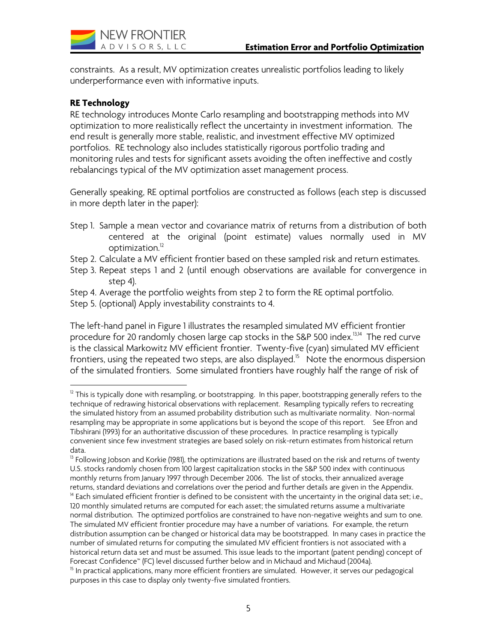

constraints. As a result, MV optimization creates unrealistic portfolios leading to likely underperformance even with informative inputs.

#### **RE Technology**

RE technology introduces Monte Carlo resampling and bootstrapping methods into MV optimization to more realistically reflect the uncertainty in investment information. The end result is generally more stable, realistic, and investment effective MV optimized portfolios. RE technology also includes statistically rigorous portfolio trading and monitoring rules and tests for significant assets avoiding the often ineffective and costly rebalancings typical of the MV optimization asset management process.

Generally speaking, RE optimal portfolios are constructed as follows (each step is discussed in more depth later in the paper):

- Step 1. Sample a mean vector and covariance matrix of returns from a distribution of both centered at the original (point estimate) values normally used in MV optimization.<sup>12</sup>
- Step 2. Calculate a MV efficient frontier based on these sampled risk and return estimates.
- Step 3. Repeat steps 1 and 2 (until enough observations are available for convergence in step 4).
- Step 4. Average the portfolio weights from step 2 to form the RE optimal portfolio.
- Step 5. (optional) Apply investability constraints to 4.

The left-hand panel in Figure 1 illustrates the resampled simulated MV efficient frontier procedure for 20 randomly chosen large cap stocks in the S&P 500 index.<sup>13,14</sup> The red curve is the classical Markowitz MV efficient frontier. Twenty-five (cyan) simulated MV efficient frontiers, using the repeated two steps, are also displayed. ${}^{15}$  Note the enormous dispersion of the simulated frontiers. Some simulated frontiers have roughly half the range of risk of

 $\overline{a}$  $12$  This is typically done with resampling, or bootstrapping. In this paper, bootstrapping generally refers to the technique of redrawing historical observations with replacement. Resampling typically refers to recreating the simulated history from an assumed probability distribution such as multivariate normality. Non-normal resampling may be appropriate in some applications but is beyond the scope of this report. See Efron and Tibshirani (1993) for an authoritative discussion of these procedures. In practice resampling is typically convenient since few investment strategies are based solely on risk-return estimates from historical return data.

<sup>&</sup>lt;sup>13</sup> Following Jobson and Korkie (1981), the optimizations are illustrated based on the risk and returns of twenty U.S. stocks randomly chosen from 100 largest capitalization stocks in the S&P 500 index with continuous monthly returns from January 1997 through December 2006. The list of stocks, their annualized average returns, standard deviations and correlations over the period and further details are given in the Appendix.  $14$  Each simulated efficient frontier is defined to be consistent with the uncertainty in the original data set; i.e., 120 monthly simulated returns are computed for each asset; the simulated returns assume a multivariate normal distribution. The optimized portfolios are constrained to have non-negative weights and sum to one. The simulated MV efficient frontier procedure may have a number of variations. For example, the return distribution assumption can be changed or historical data may be bootstrapped. In many cases in practice the number of simulated returns for computing the simulated MV efficient frontiers is not associated with a historical return data set and must be assumed. This issue leads to the important (patent pending) concept of Forecast Confidence™ (FC) level discussed further below and in Michaud and Michaud (2004a).

<sup>&</sup>lt;sup>15</sup> In practical applications, many more efficient frontiers are simulated. However, it serves our pedagogical purposes in this case to display only twenty-five simulated frontiers.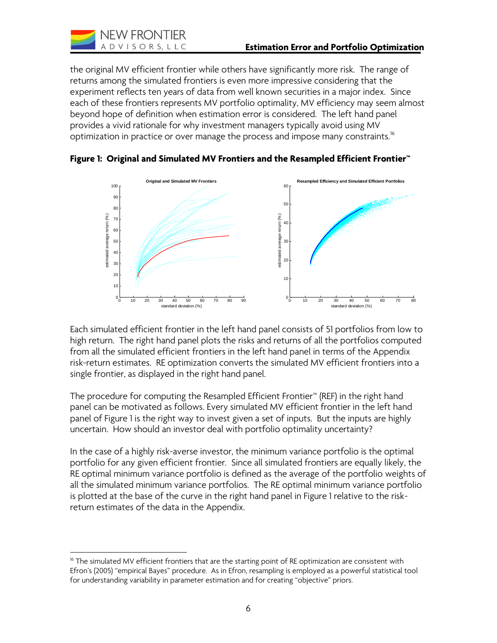

the original MV efficient frontier while others have significantly more risk. The range of returns among the simulated frontiers is even more impressive considering that the experiment reflects ten years of data from well known securities in a major index. Since each of these frontiers represents MV portfolio optimality, MV efficiency may seem almost beyond hope of definition when estimation error is considered. The left hand panel provides a vivid rationale for why investment managers typically avoid using MV optimization in practice or over manage the process and impose many constraints. $^{16}$ 



**Figure 1: Original and Simulated MV Frontiers and the Resampled Efficient Frontier™**

Each simulated efficient frontier in the left hand panel consists of 51 portfolios from low to high return. The right hand panel plots the risks and returns of all the portfolios computed from all the simulated efficient frontiers in the left hand panel in terms of the Appendix risk-return estimates. RE optimization converts the simulated MV efficient frontiers into a single frontier, as displayed in the right hand panel.

The procedure for computing the Resampled Efficient Frontier™ (REF) in the right hand panel can be motivated as follows. Every simulated MV efficient frontier in the left hand panel of Figure 1 is the right way to invest given a set of inputs. But the inputs are highly uncertain. How should an investor deal with portfolio optimality uncertainty?

In the case of a highly risk-averse investor, the minimum variance portfolio is the optimal portfolio for any given efficient frontier. Since all simulated frontiers are equally likely, the RE optimal minimum variance portfolio is defined as the average of the portfolio weights of all the simulated minimum variance portfolios. The RE optimal minimum variance portfolio is plotted at the base of the curve in the right hand panel in Figure 1 relative to the riskreturn estimates of the data in the Appendix.

 $\overline{a}$  $16$  The simulated MV efficient frontiers that are the starting point of RE optimization are consistent with Efron's (2005) "empirical Bayes" procedure. As in Efron, resampling is employed as a powerful statistical tool for understanding variability in parameter estimation and for creating "objective" priors.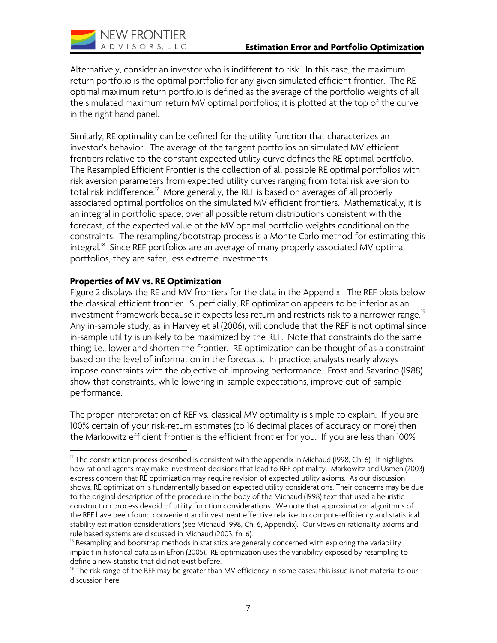

Alternatively, consider an investor who is indifferent to risk. In this case, the maximum return portfolio is the optimal portfolio for any given simulated efficient frontier. The RE optimal maximum return portfolio is defined as the average of the portfolio weights of all the simulated maximum return MV optimal portfolios; it is plotted at the top of the curve in the right hand panel.

Similarly, RE optimality can be defined for the utility function that characterizes an investor's behavior. The average of the tangent portfolios on simulated MV efficient frontiers relative to the constant expected utility curve defines the RE optimal portfolio. The Resampled Efficient Frontier is the collection of all possible RE optimal portfolios with risk aversion parameters from expected utility curves ranging from total risk aversion to total risk indifference. $^{\prime\prime}$  More generally, the REF is based on averages of all properly associated optimal portfolios on the simulated MV efficient frontiers. Mathematically, it is an integral in portfolio space, over all possible return distributions consistent with the forecast, of the expected value of the MV optimal portfolio weights conditional on the constraints. The resampling/bootstrap process is a Monte Carlo method for estimating this integral.<sup>18</sup> Since REF portfolios are an average of many properly associated MV optimal portfolios, they are safer, less extreme investments.

#### **Properties of MV vs. RE Optimization**

 $\overline{a}$ 

Figure 2 displays the RE and MV frontiers for the data in the Appendix. The REF plots below the classical efficient frontier. Superficially, RE optimization appears to be inferior as an investment framework because it expects less return and restricts risk to a narrower range. $^{19}$ Any in-sample study, as in Harvey et al (2006), will conclude that the REF is not optimal since in-sample utility is unlikely to be maximized by the REF. Note that constraints do the same thing; i.e., lower and shorten the frontier. RE optimization can be thought of as a constraint based on the level of information in the forecasts. In practice, analysts nearly always impose constraints with the objective of improving performance. Frost and Savarino (1988) show that constraints, while lowering in-sample expectations, improve out-of-sample performance.

The proper interpretation of REF vs. classical MV optimality is simple to explain. If you are 100% certain of your risk-return estimates (to 16 decimal places of accuracy or more) then the Markowitz efficient frontier is the efficient frontier for you. If you are less than 100%

 $\frac{17}{17}$  The construction process described is consistent with the appendix in Michaud (1998, Ch. 6). It highlights how rational agents may make investment decisions that lead to REF optimality. Markowitz and Usmen (2003) express concern that RE optimization may require revision of expected utility axioms. As our discussion shows, RE optimization is fundamentally based on expected utility considerations. Their concerns may be due to the original description of the procedure in the body of the Michaud (1998) text that used a heuristic construction process devoid of utility function considerations. We note that approximation algorithms of the REF have been found convenient and investment effective relative to compute-efficiency and statistical stability estimation considerations (see Michaud 1998, Ch. 6, Appendix). Our views on rationality axioms and rule based systems are discussed in Michaud (2003, fn. 6).

<sup>&</sup>lt;sup>18</sup> Resampling and bootstrap methods in statistics are generally concerned with exploring the variability implicit in historical data as in Efron (2005). RE optimization uses the variability exposed by resampling to define a new statistic that did not exist before.

<sup>&</sup>lt;sup>19</sup> The risk range of the REF may be greater than MV efficiency in some cases; this issue is not material to our discussion here.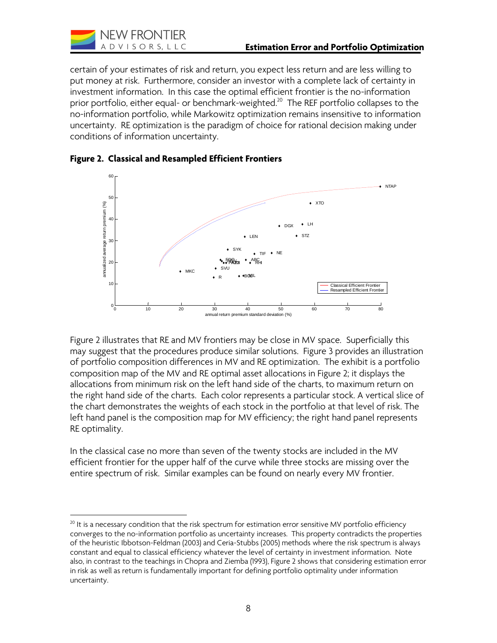

 $\overline{a}$ 

certain of your estimates of risk and return, you expect less return and are less willing to put money at risk. Furthermore, consider an investor with a complete lack of certainty in investment information. In this case the optimal efficient frontier is the no-information prior portfolio, either equal- or benchmark-weighted.<sup>20</sup> The REF portfolio collapses to the no-information portfolio, while Markowitz optimization remains insensitive to information uncertainty. RE optimization is the paradigm of choice for rational decision making under conditions of information uncertainty.





Figure 2 illustrates that RE and MV frontiers may be close in MV space. Superficially this may suggest that the procedures produce similar solutions. Figure 3 provides an illustration of portfolio composition differences in MV and RE optimization. The exhibit is a portfolio composition map of the MV and RE optimal asset allocations in Figure 2; it displays the allocations from minimum risk on the left hand side of the charts, to maximum return on the right hand side of the charts. Each color represents a particular stock. A vertical slice of the chart demonstrates the weights of each stock in the portfolio at that level of risk. The left hand panel is the composition map for MV efficiency; the right hand panel represents RE optimality.

In the classical case no more than seven of the twenty stocks are included in the MV efficient frontier for the upper half of the curve while three stocks are missing over the entire spectrum of risk. Similar examples can be found on nearly every MV frontier.

<sup>&</sup>lt;sup>20</sup> It is a necessary condition that the risk spectrum for estimation error sensitive MV portfolio efficiency converges to the no-information portfolio as uncertainty increases. This property contradicts the properties of the heuristic Ibbotson-Feldman (2003) and Ceria-Stubbs (2005) methods where the risk spectrum is always constant and equal to classical efficiency whatever the level of certainty in investment information. Note also, in contrast to the teachings in Chopra and Ziemba (1993), Figure 2 shows that considering estimation error in risk as well as return is fundamentally important for defining portfolio optimality under information uncertainty.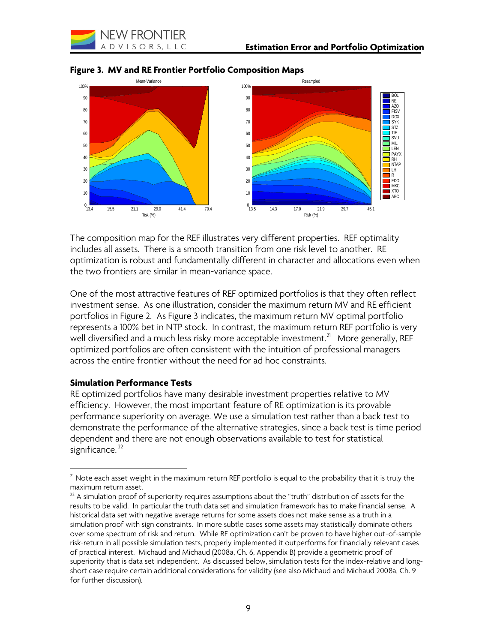



#### **Figure 3. MV and RE Frontier Portfolio Composition Maps**

The composition map for the REF illustrates very different properties. REF optimality includes all assets. There is a smooth transition from one risk level to another. RE optimization is robust and fundamentally different in character and allocations even when the two frontiers are similar in mean-variance space.

One of the most attractive features of REF optimized portfolios is that they often reflect investment sense. As one illustration, consider the maximum return MV and RE efficient portfolios in Figure 2. As Figure 3 indicates, the maximum return MV optimal portfolio represents a 100% bet in NTP stock. In contrast, the maximum return REF portfolio is very well diversified and a much less risky more acceptable investment. $^{21}$  More generally, REF  $\,$ optimized portfolios are often consistent with the intuition of professional managers across the entire frontier without the need for ad hoc constraints.

#### **Simulation Performance Tests**

 $\overline{a}$ 

RE optimized portfolios have many desirable investment properties relative to MV efficiency. However, the most important feature of RE optimization is its provable performance superiority on average. We use a simulation test rather than a back test to demonstrate the performance of the alternative strategies, since a back test is time period dependent and there are not enough observations available to test for statistical significance.<sup>22</sup>

 $21$  Note each asset weight in the maximum return REF portfolio is equal to the probability that it is truly the maximum return asset.

 $22$  A simulation proof of superiority requires assumptions about the "truth" distribution of assets for the results to be valid. In particular the truth data set and simulation framework has to make financial sense. A historical data set with negative average returns for some assets does not make sense as a truth in a simulation proof with sign constraints. In more subtle cases some assets may statistically dominate others over some spectrum of risk and return. While RE optimization can't be proven to have higher out-of-sample risk-return in all possible simulation tests, properly implemented it outperforms for financially relevant cases of practical interest. Michaud and Michaud (2008a, Ch. 6, Appendix B) provide a geometric proof of superiority that is data set independent. As discussed below, simulation tests for the index-relative and longshort case require certain additional considerations for validity (see also Michaud and Michaud 2008a, Ch. 9 for further discussion).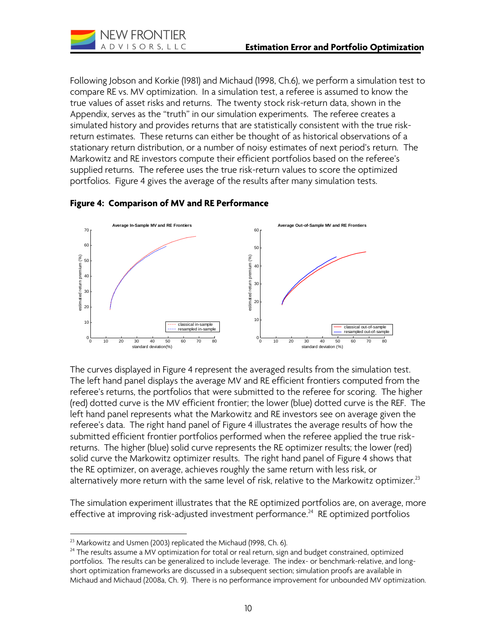

Following Jobson and Korkie (1981) and Michaud (1998, Ch.6), we perform a simulation test to compare RE vs. MV optimization. In a simulation test, a referee is assumed to know the true values of asset risks and returns. The twenty stock risk-return data, shown in the Appendix, serves as the "truth" in our simulation experiments. The referee creates a simulated history and provides returns that are statistically consistent with the true riskreturn estimates. These returns can either be thought of as historical observations of a stationary return distribution, or a number of noisy estimates of next period's return. The Markowitz and RE investors compute their efficient portfolios based on the referee's supplied returns. The referee uses the true risk-return values to score the optimized portfolios. Figure 4 gives the average of the results after many simulation tests.



#### **Figure 4: Comparison of MV and RE Performance**

The curves displayed in Figure 4 represent the averaged results from the simulation test. The left hand panel displays the average MV and RE efficient frontiers computed from the referee's returns, the portfolios that were submitted to the referee for scoring. The higher (red) dotted curve is the MV efficient frontier; the lower (blue) dotted curve is the REF. The left hand panel represents what the Markowitz and RE investors see on average given the referee's data. The right hand panel of Figure 4 illustrates the average results of how the submitted efficient frontier portfolios performed when the referee applied the true riskreturns. The higher (blue) solid curve represents the RE optimizer results; the lower (red) solid curve the Markowitz optimizer results. The right hand panel of Figure 4 shows that the RE optimizer, on average, achieves roughly the same return with less risk, or alternatively more return with the same level of risk, relative to the Markowitz optimizer. $^{23}$ 

The simulation experiment illustrates that the RE optimized portfolios are, on average, more effective at improving risk-adjusted investment performance.<sup>24</sup> RE optimized portfolios

 $\overline{a}$ <sup>23</sup> Markowitz and Usmen (2003) replicated the Michaud (1998, Ch. 6).

<sup>&</sup>lt;sup>24</sup> The results assume a MV optimization for total or real return, sign and budget constrained, optimized portfolios. The results can be generalized to include leverage. The index- or benchmark-relative, and longshort optimization frameworks are discussed in a subsequent section; simulation proofs are available in Michaud and Michaud (2008a, Ch. 9). There is no performance improvement for unbounded MV optimization.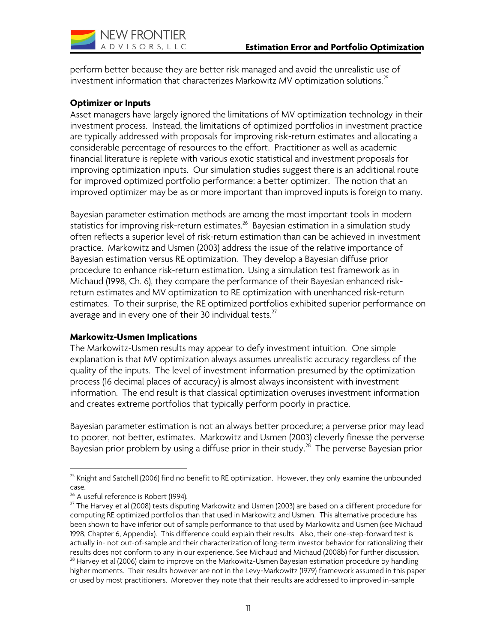

perform better because they are better risk managed and avoid the unrealistic use of investment information that characterizes Markowitz MV optimization solutions.<sup>25</sup>

#### **Optimizer or Inputs**

Asset managers have largely ignored the limitations of MV optimization technology in their investment process. Instead, the limitations of optimized portfolios in investment practice are typically addressed with proposals for improving risk-return estimates and allocating a considerable percentage of resources to the effort. Practitioner as well as academic financial literature is replete with various exotic statistical and investment proposals for improving optimization inputs. Our simulation studies suggest there is an additional route for improved optimized portfolio performance: a better optimizer. The notion that an improved optimizer may be as or more important than improved inputs is foreign to many.

Bayesian parameter estimation methods are among the most important tools in modern statistics for improving risk-return estimates. $^{26}$  Bayesian estimation in a simulation study often reflects a superior level of risk-return estimation than can be achieved in investment practice. Markowitz and Usmen (2003) address the issue of the relative importance of Bayesian estimation versus RE optimization. They develop a Bayesian diffuse prior procedure to enhance risk-return estimation. Using a simulation test framework as in Michaud (1998, Ch. 6), they compare the performance of their Bayesian enhanced riskreturn estimates and MV optimization to RE optimization with unenhanced risk-return estimates. To their surprise, the RE optimized portfolios exhibited superior performance on average and in every one of their 30 individual tests.<sup>27</sup>

#### **Markowitz-Usmen Implications**

The Markowitz-Usmen results may appear to defy investment intuition. One simple explanation is that MV optimization always assumes unrealistic accuracy regardless of the quality of the inputs. The level of investment information presumed by the optimization process (16 decimal places of accuracy) is almost always inconsistent with investment information. The end result is that classical optimization overuses investment information and creates extreme portfolios that typically perform poorly in practice.

Bayesian parameter estimation is not an always better procedure; a perverse prior may lead to poorer, not better, estimates. Markowitz and Usmen (2003) cleverly finesse the perverse Bayesian prior problem by using a diffuse prior in their study.<sup>28</sup> The perverse Bayesian prior

 $\overline{a}$ <sup>25</sup> Knight and Satchell (2006) find no benefit to RE optimization. However, they only examine the unbounded case.

<sup>&</sup>lt;sup>26</sup> A useful reference is Robert (1994).

 $27$  The Harvey et al (2008) tests disputing Markowitz and Usmen (2003) are based on a different procedure for computing RE optimized portfolios than that used in Markowitz and Usmen. This alternative procedure has been shown to have inferior out of sample performance to that used by Markowitz and Usmen (see Michaud 1998, Chapter 6, Appendix). This difference could explain their results. Also, their one-step-forward test is actually in- not out-of-sample and their characterization of long-term investor behavior for rationalizing their results does not conform to any in our experience. See Michaud and Michaud (2008b) for further discussion.  $28$  Harvey et al (2006) claim to improve on the Markowitz-Usmen Bayesian estimation procedure by handling higher moments. Their results however are not in the Levy-Markowitz (1979) framework assumed in this paper or used by most practitioners. Moreover they note that their results are addressed to improved in-sample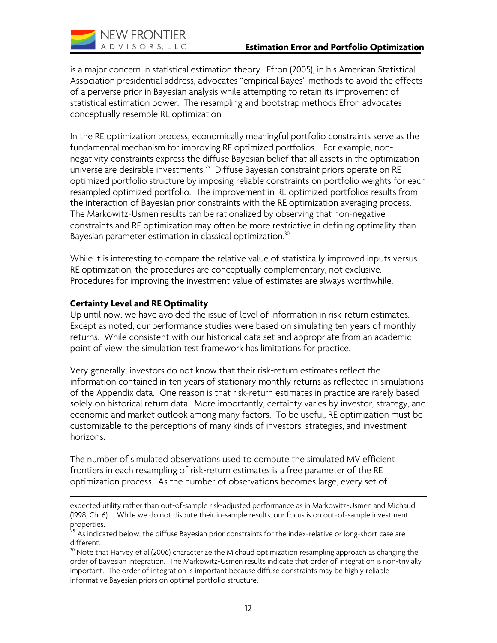

is a major concern in statistical estimation theory. Efron (2005), in his American Statistical Association presidential address, advocates "empirical Bayes" methods to avoid the effects of a perverse prior in Bayesian analysis while attempting to retain its improvement of statistical estimation power. The resampling and bootstrap methods Efron advocates conceptually resemble RE optimization.

In the RE optimization process, economically meaningful portfolio constraints serve as the fundamental mechanism for improving RE optimized portfolios. For example, nonnegativity constraints express the diffuse Bayesian belief that all assets in the optimization universe are desirable investments.<sup>29</sup> Diffuse Bayesian constraint priors operate on RE optimized portfolio structure by imposing reliable constraints on portfolio weights for each resampled optimized portfolio. The improvement in RE optimized portfolios results from the interaction of Bayesian prior constraints with the RE optimization averaging process. The Markowitz-Usmen results can be rationalized by observing that non-negative constraints and RE optimization may often be more restrictive in defining optimality than Bayesian parameter estimation in classical optimization. $^{\rm 30}$ 

While it is interesting to compare the relative value of statistically improved inputs versus RE optimization, the procedures are conceptually complementary, not exclusive. Procedures for improving the investment value of estimates are always worthwhile.

#### **Certainty Level and RE Optimality**

 $\overline{a}$ 

Up until now, we have avoided the issue of level of information in risk-return estimates. Except as noted, our performance studies were based on simulating ten years of monthly returns. While consistent with our historical data set and appropriate from an academic point of view, the simulation test framework has limitations for practice.

Very generally, investors do not know that their risk-return estimates reflect the information contained in ten years of stationary monthly returns as reflected in simulations of the Appendix data. One reason is that risk-return estimates in practice are rarely based solely on historical return data. More importantly, certainty varies by investor, strategy, and economic and market outlook among many factors. To be useful, RE optimization must be customizable to the perceptions of many kinds of investors, strategies, and investment horizons.

The number of simulated observations used to compute the simulated MV efficient frontiers in each resampling of risk-return estimates is a free parameter of the RE optimization process. As the number of observations becomes large, every set of

expected utility rather than out-of-sample risk-adjusted performance as in Markowitz-Usmen and Michaud (1998, Ch. 6). While we do not dispute their in-sample results, our focus is on out-of-sample investment properties.

**<sup>29</sup>** As indicated below, the diffuse Bayesian prior constraints for the index-relative or long-short case are different.

 $30$  Note that Harvey et al (2006) characterize the Michaud optimization resampling approach as changing the order of Bayesian integration. The Markowitz-Usmen results indicate that order of integration is non-trivially important. The order of integration is important because diffuse constraints may be highly reliable informative Bayesian priors on optimal portfolio structure.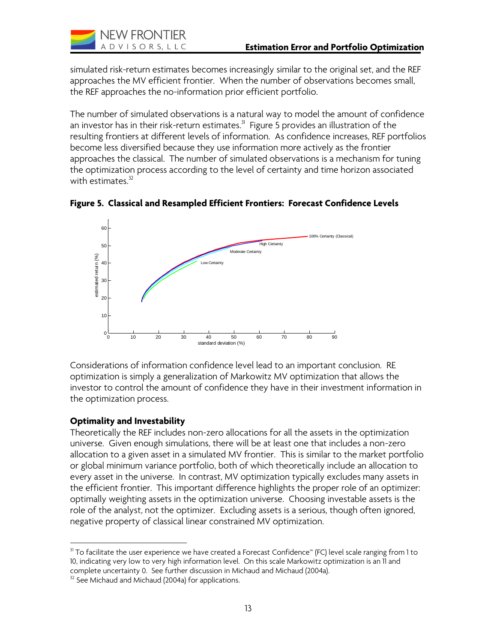

simulated risk-return estimates becomes increasingly similar to the original set, and the REF approaches the MV efficient frontier. When the number of observations becomes small, the REF approaches the no-information prior efficient portfolio.

The number of simulated observations is a natural way to model the amount of confidence an investor has in their risk-return estimates. $^{\textrm{31}}$  Figure 5 provides an illustration of the resulting frontiers at different levels of information. As confidence increases, REF portfolios become less diversified because they use information more actively as the frontier approaches the classical. The number of simulated observations is a mechanism for tuning the optimization process according to the level of certainty and time horizon associated with estimates.<sup>32</sup>





Considerations of information confidence level lead to an important conclusion. RE optimization is simply a generalization of Markowitz MV optimization that allows the investor to control the amount of confidence they have in their investment information in the optimization process.

#### **Optimality and Investability**

Theoretically the REF includes non-zero allocations for all the assets in the optimization universe. Given enough simulations, there will be at least one that includes a non-zero allocation to a given asset in a simulated MV frontier. This is similar to the market portfolio or global minimum variance portfolio, both of which theoretically include an allocation to every asset in the universe. In contrast, MV optimization typically excludes many assets in the efficient frontier. This important difference highlights the proper role of an optimizer: optimally weighting assets in the optimization universe. Choosing investable assets is the role of the analyst, not the optimizer. Excluding assets is a serious, though often ignored, negative property of classical linear constrained MV optimization.

 $\overline{a}$ <sup>31</sup> To facilitate the user experience we have created a Forecast Confidence™ (FC) level scale ranging from 1 to 10, indicating very low to very high information level. On this scale Markowitz optimization is an 11 and complete uncertainty 0. See further discussion in Michaud and Michaud (2004a).

<sup>&</sup>lt;sup>32</sup> See Michaud and Michaud (2004a) for applications.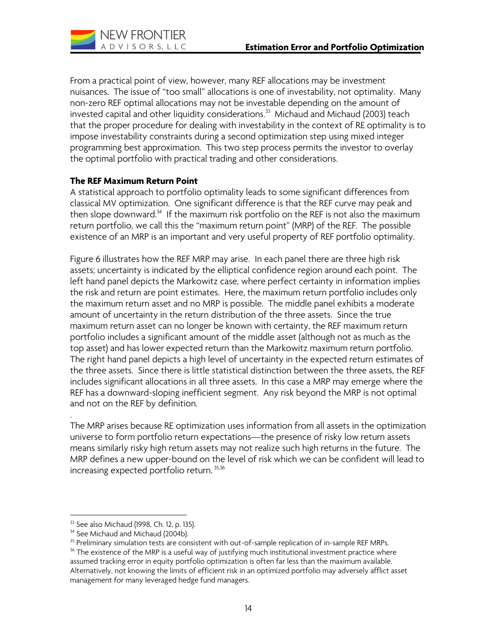

From a practical point of view, however, many REF allocations may be investment nuisances. The issue of "too small" allocations is one of investability, not optimality. Many non-zero REF optimal allocations may not be investable depending on the amount of invested capital and other liquidity considerations.<sup>33</sup> Michaud and Michaud (2003) teach that the proper procedure for dealing with investability in the context of RE optimality is to impose investability constraints during a second optimization step using mixed integer programming best approximation. This two step process permits the investor to overlay the optimal portfolio with practical trading and other considerations.

#### **The REF Maximum Return Point**

A statistical approach to portfolio optimality leads to some significant differences from classical MV optimization. One significant difference is that the REF curve may peak and then slope downward.<sup>34</sup> If the maximum risk portfolio on the REF is not also the maximum return portfolio, we call this the "maximum return point" (MRP) of the REF. The possible existence of an MRP is an important and very useful property of REF portfolio optimality.

Figure 6 illustrates how the REF MRP may arise. In each panel there are three high risk assets; uncertainty is indicated by the elliptical confidence region around each point. The left hand panel depicts the Markowitz case, where perfect certainty in information implies the risk and return are point estimates. Here, the maximum return portfolio includes only the maximum return asset and no MRP is possible. The middle panel exhibits a moderate amount of uncertainty in the return distribution of the three assets. Since the true maximum return asset can no longer be known with certainty, the REF maximum return portfolio includes a significant amount of the middle asset (although not as much as the top asset) and has lower expected return than the Markowitz maximum return portfolio. The right hand panel depicts a high level of uncertainty in the expected return estimates of the three assets. Since there is little statistical distinction between the three assets, the REF includes significant allocations in all three assets. In this case a MRP may emerge where the REF has a downward-sloping inefficient segment. Any risk beyond the MRP is not optimal and not on the REF by definition.

The MRP arises because RE optimization uses information from all assets in the optimization universe to form portfolio return expectations—the presence of risky low return assets means similarly risky high return assets may not realize such high returns in the future. The MRP defines a new upper-bound on the level of risk which we can be confident will lead to increasing expected portfolio return.<sup>35,36</sup>

.

 $\overline{a}$ 

<sup>33</sup> See also Michaud (1998, Ch. 12, p. 135).

<sup>&</sup>lt;sup>34</sup> See Michaud and Michaud (2004b).

<sup>&</sup>lt;sup>35</sup> Preliminary simulation tests are consistent with out-of-sample replication of in-sample REF MRPs.

<sup>&</sup>lt;sup>36</sup> The existence of the MRP is a useful way of justifying much institutional investment practice where assumed tracking error in equity portfolio optimization is often far less than the maximum available. Alternatively, not knowing the limits of efficient risk in an optimized portfolio may adversely afflict asset management for many leveraged hedge fund managers.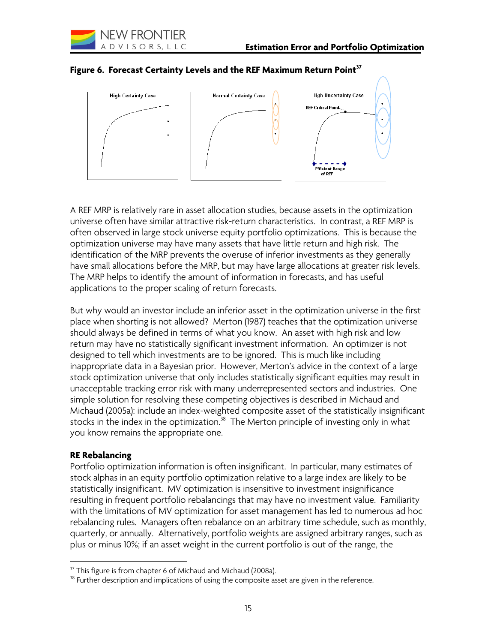



**Figure 6. Forecast Certainty Levels and the REF Maximum Return Point<sup>37</sup>**

A REF MRP is relatively rare in asset allocation studies, because assets in the optimization universe often have similar attractive risk-return characteristics. In contrast, a REF MRP is often observed in large stock universe equity portfolio optimizations. This is because the optimization universe may have many assets that have little return and high risk. The identification of the MRP prevents the overuse of inferior investments as they generally have small allocations before the MRP, but may have large allocations at greater risk levels. The MRP helps to identify the amount of information in forecasts, and has useful applications to the proper scaling of return forecasts.

But why would an investor include an inferior asset in the optimization universe in the first place when shorting is not allowed? Merton (1987) teaches that the optimization universe should always be defined in terms of what you know. An asset with high risk and low return may have no statistically significant investment information. An optimizer is not designed to tell which investments are to be ignored. This is much like including inappropriate data in a Bayesian prior. However, Merton's advice in the context of a large stock optimization universe that only includes statistically significant equities may result in unacceptable tracking error risk with many underrepresented sectors and industries. One simple solution for resolving these competing objectives is described in Michaud and Michaud (2005a): include an index-weighted composite asset of the statistically insignificant stocks in the index in the optimization.<sup>38</sup> The Merton principle of investing only in what you know remains the appropriate one.

#### **RE Rebalancing**

 $\overline{a}$ 

Portfolio optimization information is often insignificant. In particular, many estimates of stock alphas in an equity portfolio optimization relative to a large index are likely to be statistically insignificant. MV optimization is insensitive to investment insignificance resulting in frequent portfolio rebalancings that may have no investment value. Familiarity with the limitations of MV optimization for asset management has led to numerous ad hoc rebalancing rules. Managers often rebalance on an arbitrary time schedule, such as monthly, quarterly, or annually. Alternatively, portfolio weights are assigned arbitrary ranges, such as plus or minus 10%; if an asset weight in the current portfolio is out of the range, the

<sup>&</sup>lt;sup>37</sup> This figure is from chapter 6 of Michaud and Michaud (2008a).

 $38$  Further description and implications of using the composite asset are given in the reference.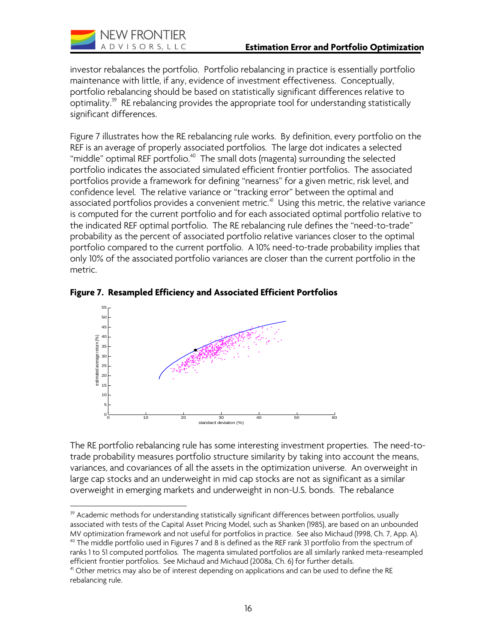

investor rebalances the portfolio. Portfolio rebalancing in practice is essentially portfolio maintenance with little, if any, evidence of investment effectiveness. Conceptually, portfolio rebalancing should be based on statistically significant differences relative to optimality.<sup>39</sup> RE rebalancing provides the appropriate tool for understanding statistically significant differences.

Figure 7 illustrates how the RE rebalancing rule works. By definition, every portfolio on the REF is an average of properly associated portfolios. The large dot indicates a selected "middle" optimal REF portfolio. $40$  The small dots (magenta) surrounding the selected portfolio indicates the associated simulated efficient frontier portfolios. The associated portfolios provide a framework for defining "nearness" for a given metric, risk level, and confidence level. The relative variance or "tracking error" between the optimal and associated portfolios provides a convenient metric.<sup>41</sup> Using this metric, the relative variance is computed for the current portfolio and for each associated optimal portfolio relative to the indicated REF optimal portfolio. The RE rebalancing rule defines the "need-to-trade" probability as the percent of associated portfolio relative variances closer to the optimal portfolio compared to the current portfolio. A 10% need-to-trade probability implies that only 10% of the associated portfolio variances are closer than the current portfolio in the metric.

**Figure 7. Resampled Efficiency and Associated Efficient Portfolios**



The RE portfolio rebalancing rule has some interesting investment properties. The need-totrade probability measures portfolio structure similarity by taking into account the means, variances, and covariances of all the assets in the optimization universe. An overweight in large cap stocks and an underweight in mid cap stocks are not as significant as a similar overweight in emerging markets and underweight in non-U.S. bonds. The rebalance

 $\overline{a}$ <sup>39</sup> Academic methods for understanding statistically significant differences between portfolios, usually associated with tests of the Capital Asset Pricing Model, such as Shanken (1985), are based on an unbounded MV optimization framework and not useful for portfolios in practice. See also Michaud (1998, Ch. 7, App. A).

 $40$  The middle portfolio used in Figures 7 and 8 is defined as the REF rank 31 portfolio from the spectrum of ranks 1 to 51 computed portfolios. The magenta simulated portfolios are all similarly ranked meta-reseampled efficient frontier portfolios. See Michaud and Michaud (2008a, Ch. 6) for further details.

<sup>&</sup>lt;sup>41</sup> Other metrics may also be of interest depending on applications and can be used to define the RE rebalancing rule.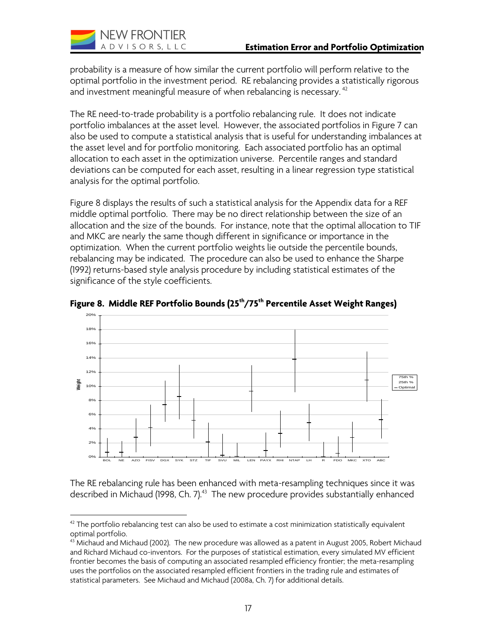

probability is a measure of how similar the current portfolio will perform relative to the optimal portfolio in the investment period. RE rebalancing provides a statistically rigorous and investment meaningful measure of when rebalancing is necessary.  $^{42}$ 

The RE need-to-trade probability is a portfolio rebalancing rule. It does not indicate portfolio imbalances at the asset level. However, the associated portfolios in Figure 7 can also be used to compute a statistical analysis that is useful for understanding imbalances at the asset level and for portfolio monitoring. Each associated portfolio has an optimal allocation to each asset in the optimization universe. Percentile ranges and standard deviations can be computed for each asset, resulting in a linear regression type statistical analysis for the optimal portfolio.

Figure 8 displays the results of such a statistical analysis for the Appendix data for a REF middle optimal portfolio. There may be no direct relationship between the size of an allocation and the size of the bounds. For instance, note that the optimal allocation to TIF and MKC are nearly the same though different in significance or importance in the optimization. When the current portfolio weights lie outside the percentile bounds, rebalancing may be indicated. The procedure can also be used to enhance the Sharpe (1992) returns-based style analysis procedure by including statistical estimates of the significance of the style coefficients.



**Figure 8. Middle REF Portfolio Bounds (25th/75th Percentile Asset Weight Ranges)** 

The RE rebalancing rule has been enhanced with meta-resampling techniques since it was described in Michaud (1998, Ch. 7).<sup>43</sup> The new procedure provides substantially enhanced

 $\overline{a}$  $42$  The portfolio rebalancing test can also be used to estimate a cost minimization statistically equivalent optimal portfolio.

 $43$  Michaud and Michaud (2002). The new procedure was allowed as a patent in August 2005, Robert Michaud and Richard Michaud co-inventors. For the purposes of statistical estimation, every simulated MV efficient frontier becomes the basis of computing an associated resampled efficiency frontier; the meta-resampling uses the portfolios on the associated resampled efficient frontiers in the trading rule and estimates of statistical parameters. See Michaud and Michaud (2008a, Ch. 7) for additional details.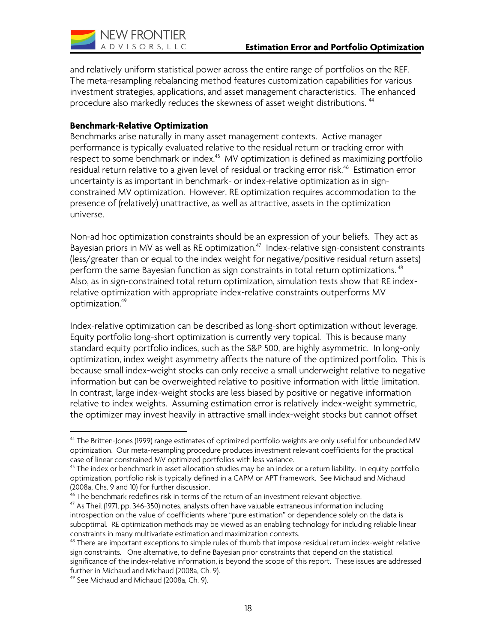

and relatively uniform statistical power across the entire range of portfolios on the REF. The meta-resampling rebalancing method features customization capabilities for various investment strategies, applications, and asset management characteristics. The enhanced procedure also markedly reduces the skewness of asset weight distributions.<sup>44</sup>

#### **Benchmark-Relative Optimization**

Benchmarks arise naturally in many asset management contexts. Active manager performance is typically evaluated relative to the residual return or tracking error with respect to some benchmark or index.<sup>45</sup> MV optimization is defined as maximizing portfolio residual return relative to a given level of residual or tracking error risk.<sup>46</sup> Estimation error uncertainty is as important in benchmark- or index-relative optimization as in signconstrained MV optimization. However, RE optimization requires accommodation to the presence of (relatively) unattractive, as well as attractive, assets in the optimization universe.

Non-ad hoc optimization constraints should be an expression of your beliefs. They act as Bayesian priors in MV as well as RE optimization. $47$  Index-relative sign-consistent constraints (less/greater than or equal to the index weight for negative/positive residual return assets) perform the same Bayesian function as sign constraints in total return optimizations.  $^{48}$ Also, as in sign-constrained total return optimization, simulation tests show that RE indexrelative optimization with appropriate index-relative constraints outperforms MV optimization.<sup>49</sup>

Index-relative optimization can be described as long-short optimization without leverage. Equity portfolio long-short optimization is currently very topical. This is because many standard equity portfolio indices, such as the S&P 500, are highly asymmetric. In long-only optimization, index weight asymmetry affects the nature of the optimized portfolio. This is because small index-weight stocks can only receive a small underweight relative to negative information but can be overweighted relative to positive information with little limitation. In contrast, large index-weight stocks are less biased by positive or negative information relative to index weights. Assuming estimation error is relatively index-weight symmetric, the optimizer may invest heavily in attractive small index-weight stocks but cannot offset

 $\overline{a}$ <sup>44</sup> The Britten-Jones (1999) range estimates of optimized portfolio weights are only useful for unbounded MV optimization. Our meta-resampling procedure produces investment relevant coefficients for the practical case of linear constrained MV optimized portfolios with less variance.

<sup>&</sup>lt;sup>45</sup> The index or benchmark in asset allocation studies may be an index or a return liability. In equity portfolio optimization, portfolio risk is typically defined in a CAPM or APT framework. See Michaud and Michaud (2008a, Chs. 9 and 10) for further discussion.

 $46$  The benchmark redefines risk in terms of the return of an investment relevant objective.

 $47$  As Theil (1971, pp. 346-350) notes, analysts often have valuable extraneous information including introspection on the value of coefficients where "pure estimation" or dependence solely on the data is suboptimal. RE optimization methods may be viewed as an enabling technology for including reliable linear constraints in many multivariate estimation and maximization contexts.

 $48$  There are important exceptions to simple rules of thumb that impose residual return index-weight relative sign constraints. One alternative, to define Bayesian prior constraints that depend on the statistical significance of the index-relative information, is beyond the scope of this report. These issues are addressed further in Michaud and Michaud (2008a, Ch. 9).

<sup>49</sup> See Michaud and Michaud (2008a, Ch. 9).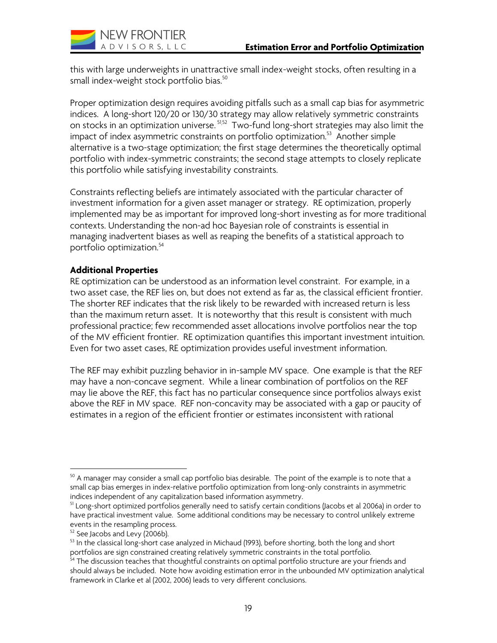

this with large underweights in unattractive small index-weight stocks, often resulting in a small index-weight stock portfolio bias.<sup>50</sup>

Proper optimization design requires avoiding pitfalls such as a small cap bias for asymmetric indices. A long-short 120/20 or 130/30 strategy may allow relatively symmetric constraints on stocks in an optimization universe.  $^{5|52}\,$  Two-fund long-short strategies may also limit the impact of index asymmetric constraints on portfolio optimization. $^{53}$  Another simple alternative is a two-stage optimization; the first stage determines the theoretically optimal portfolio with index-symmetric constraints; the second stage attempts to closely replicate this portfolio while satisfying investability constraints.

Constraints reflecting beliefs are intimately associated with the particular character of investment information for a given asset manager or strategy. RE optimization, properly implemented may be as important for improved long-short investing as for more traditional contexts. Understanding the non-ad hoc Bayesian role of constraints is essential in managing inadvertent biases as well as reaping the benefits of a statistical approach to portfolio optimization.<sup>54</sup>

#### **Additional Properties**

RE optimization can be understood as an information level constraint. For example, in a two asset case, the REF lies on, but does not extend as far as, the classical efficient frontier. The shorter REF indicates that the risk likely to be rewarded with increased return is less than the maximum return asset. It is noteworthy that this result is consistent with much professional practice; few recommended asset allocations involve portfolios near the top of the MV efficient frontier. RE optimization quantifies this important investment intuition. Even for two asset cases, RE optimization provides useful investment information.

The REF may exhibit puzzling behavior in in-sample MV space. One example is that the REF may have a non-concave segment. While a linear combination of portfolios on the REF may lie above the REF, this fact has no particular consequence since portfolios always exist above the REF in MV space. REF non-concavity may be associated with a gap or paucity of estimates in a region of the efficient frontier or estimates inconsistent with rational

 $\overline{a}$  $50$  A manager may consider a small cap portfolio bias desirable. The point of the example is to note that a small cap bias emerges in index-relative portfolio optimization from long-only constraints in asymmetric indices independent of any capitalization based information asymmetry.

<sup>51</sup> Long-short optimized portfolios generally need to satisfy certain conditions (Jacobs et al 2006a) in order to have practical investment value. Some additional conditions may be necessary to control unlikely extreme events in the resampling process.

<sup>&</sup>lt;sup>52</sup> See Jacobs and Levy (2006b).

<sup>&</sup>lt;sup>53</sup> In the classical long-short case analyzed in Michaud (1993), before shorting, both the long and short portfolios are sign constrained creating relatively symmetric constraints in the total portfolio.

 $54$  The discussion teaches that thoughtful constraints on optimal portfolio structure are your friends and should always be included. Note how avoiding estimation error in the unbounded MV optimization analytical framework in Clarke et al (2002, 2006) leads to very different conclusions.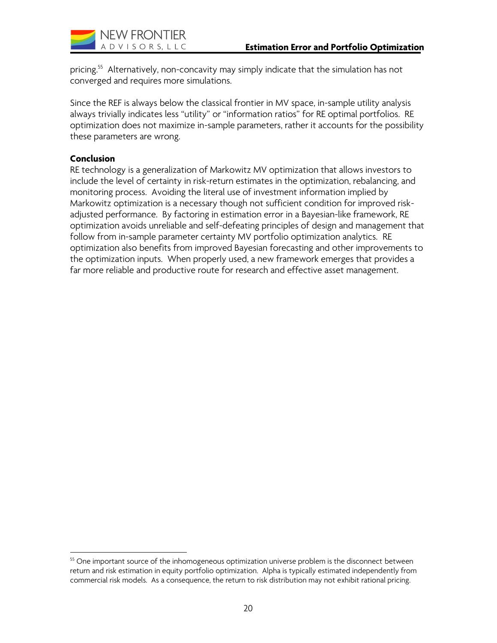

pricing.<sup>55</sup> Alternatively, non-concavity may simply indicate that the simulation has not converged and requires more simulations.

Since the REF is always below the classical frontier in MV space, in-sample utility analysis always trivially indicates less "utility" or "information ratios" for RE optimal portfolios. RE optimization does not maximize in-sample parameters, rather it accounts for the possibility these parameters are wrong.

#### **Conclusion**

 $\overline{a}$ 

RE technology is a generalization of Markowitz MV optimization that allows investors to include the level of certainty in risk-return estimates in the optimization, rebalancing, and monitoring process. Avoiding the literal use of investment information implied by Markowitz optimization is a necessary though not sufficient condition for improved riskadjusted performance. By factoring in estimation error in a Bayesian-like framework, RE optimization avoids unreliable and self-defeating principles of design and management that follow from in-sample parameter certainty MV portfolio optimization analytics. RE optimization also benefits from improved Bayesian forecasting and other improvements to the optimization inputs. When properly used, a new framework emerges that provides a far more reliable and productive route for research and effective asset management.

<sup>&</sup>lt;sup>55</sup> One important source of the inhomogeneous optimization universe problem is the disconnect between return and risk estimation in equity portfolio optimization. Alpha is typically estimated independently from commercial risk models. As a consequence, the return to risk distribution may not exhibit rational pricing.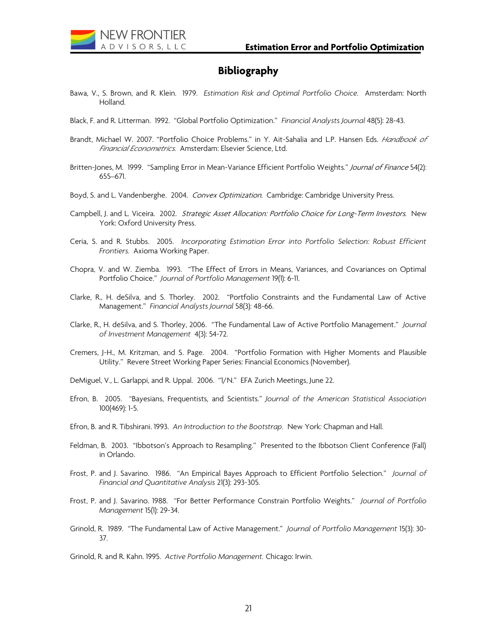

## **Bibliography**

- Bawa, V., S. Brown, and R. Klein. 1979. *Estimation Risk and Optimal Portfolio Choice.* Amsterdam: North Holland.
- Black, F. and R. Litterman. 1992. "Global Portfolio Optimization." *Financial Analysts Journal* 48(5): 28-43.
- Brandt, Michael W. 2007. "[Portfolio Choice Problems.](http://faculty.fuqua.duke.edu/~mbrandt/papers/published/portreview.pdf)" in Y. Ait-Sahalia and L.P. Hansen Eds. *[Handbook of](http://home.uchicago.edu/~lhansen/handbook.htm)  [Financial Econometrics.](http://home.uchicago.edu/~lhansen/handbook.htm)* Amsterdam: Elsevier Science, Ltd.
- Britten-Jones, M. 1999. "Sampling Error in Mean-Variance Efficient Portfolio Weights." Journal of Finance 54(2): 655–671.
- Boyd, S. and L. Vandenberghe. 2004. Convex Optimization. Cambridge: Cambridge University Press.
- Campbell, J. and L. Viceira. 2002. Strategic Asset Allocation: Portfolio Choice for Long-Term Investors. New York: Oxford University Press.
- Ceria, S. and R. Stubbs. 2005. *Incorporating Estimation Error into Portfolio Selection: Robust Efficient Frontiers.* Axioma Working Paper.
- Chopra, V. and W. Ziemba. 1993. "The Effect of Errors in Means, Variances, and Covariances on Optimal Portfolio Choice." *Journal of Portfolio Management* 19(1): 6-11.
- Clarke, R., H. deSilva, and S. Thorley. 2002. "Portfolio Constraints and the Fundamental Law of Active Management." *Financial Analysts Journal* 58(3): 48-66.
- Clarke, R., H. deSilva, and S. Thorley, 2006. "[The Fundamental Law of Active Portfolio Management](http://scholar.google.com/url?sa=U&q=http://www.enteluigieinaudi.it/pdf/Seminari/Economia/S_20060508.pdf)." *Journal of Investment Management* 4(3): 54-72.
- Cremers, J-H., M. Kritzman, and S. Page. 2004. "Portfolio Formation with Higher Moments and Plausible Utility." Revere Street Working Paper Series: Financial Economics (November).
- DeMiguel, V., L. Garlappi, and R. Uppal. 2006. "1/N." EFA Zurich Meetings, June 22.
- Efron, B. 2005. "Bayesians, Frequentists, and Scientists." *Journal of the American Statistical Association* 100(469): 1-5.
- Efron, B. and R. Tibshirani. 1993. *An Introduction to the Bootstrap.* New York: Chapman and Hall.
- Feldman, B. 2003. "Ibbotson's Approach to Resampling." Presented to the Ibbotson Client Conference (Fall) in Orlando.
- Frost, P. and J. Savarino. 1986. "An Empirical Bayes Approach to Efficient Portfolio Selection." *Journal of Financial and Quantitative Analysis* 21(3): 293-305.
- Frost, P. and J. Savarino. 1988. "For Better Performance Constrain Portfolio Weights." *Journal of Portfolio Management* 15(1): 29-34.
- Grinold, R. 1989. "The Fundamental Law of Active Management." *Journal of Portfolio Management* 15(3): 30- 37.

Grinold, R. and R. Kahn. 1995. *Active Portfolio Management.* Chicago: Irwin.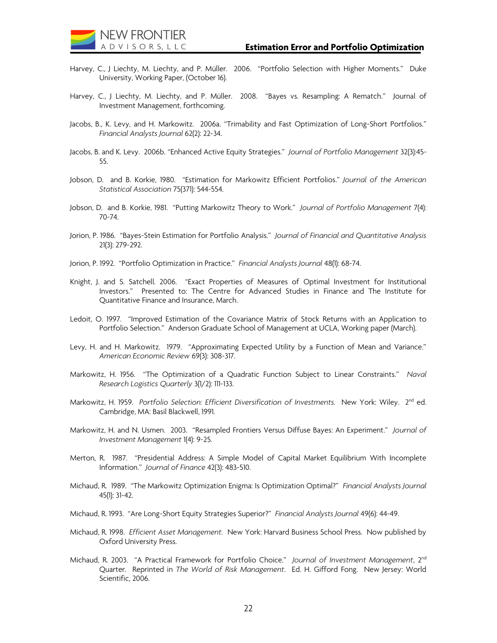- Harvey, C., J Liechty, M. Liechty, and P. Müller. 2006. "Portfolio Selection with Higher Moments." Duke University, Working Paper, (October 16).
- Harvey, C., J Liechty, M. Liechty, and P. Müller. 2008. "Bayes vs. Resampling: A Rematch." Journal of Investment Management, forthcoming.
- Jacobs, B., K. Levy, and H. Markowitz. 2006a. "Trimability and Fast Optimization of Long-Short Portfolios." *Financial Analysts Journal* 62(2): 22-34.
- Jacobs, B. and K. Levy. 2006b. "Enhanced Active Equity Strategies." *Journal of Portfolio Management* 32(3):45- 55.
- Jobson, D. and B. Korkie, 1980. "Estimation for Markowitz Efficient Portfolios." *Journal of the American Statistical Association* 75(371): 544-554.
- Jobson, D. and B. Korkie, 1981. "Putting Markowitz Theory to Work." *Journal of Portfolio Management* 7(4): 70-74.
- Jorion, P. 1986. "Bayes-Stein Estimation for Portfolio Analysis." *Journal of Financial and Quantitative Analysis* 21(3): 279-292.
- Jorion, P. 1992. "Portfolio Optimization in Practice." *Financial Analysts Journal* 48(1): 68-74.
- Knight, J. and S. Satchell. 2006. "Exact Properties of Measures of Optimal Investment for Institutional Investors." Presented to: The Centre for Advanced Studies in Finance and The Institute for Quantitative Finance and Insurance, March.
- Ledoit, O. 1997. "Improved Estimation of the Covariance Matrix of Stock Returns with an Application to Portfolio Selection." Anderson Graduate School of Management at UCLA, Working paper (March).
- Levy, H. and H. Markowitz. 1979. "Approximating Expected Utility by a Function of Mean and Variance." *American Economic Review* 69(3): 308-317.
- Markowitz, H. 1956. "The Optimization of a Quadratic Function Subject to Linear Constraints." *Naval Research Logistics Quarterly* 3(1/2): 111-133.
- Markowitz, H. 1959. Portfolio Selection: Efficient Diversification of Investments. New York: Wiley. 2<sup>nd</sup> ed. Cambridge, MA: Basil Blackwell, 1991.
- Markowitz, H. and N. Usmen. 2003. "Resampled Frontiers Versus Diffuse Bayes: An Experiment." *Journal of Investment Management* 1(4): 9-25.
- Merton, R. 1987. "Presidential Address: A Simple Model of Capital Market Equilibrium With Incomplete Information." *Journal of Finance* 42(3): 483-510.
- Michaud, R. 1989. "The Markowitz Optimization Enigma: Is Optimization Optimal?" *Financial Analysts Journal* 45(1): 31-42.
- Michaud, R. 1993. "Are Long-Short Equity Strategies Superior?" *Financial Analysts Journal* 49(6): 44-49.
- Michaud, R. 1998. *Efficient Asset Management.* New York: Harvard Business School Press. Now published by Oxford University Press.
- Michaud, R. 2003. "A Practical Framework for Portfolio Choice." *Journal of Investment Management*, 2nd Quarter. Reprinted in *The World of Risk Management*. Ed. H. Gifford Fong. New Jersey: World Scientific, 2006.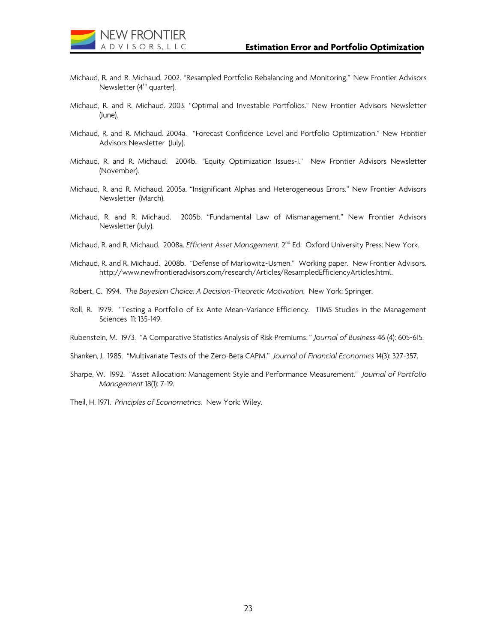

- Michaud, R. and R. Michaud. 2002. "Resampled Portfolio Rebalancing and Monitoring." New Frontier Advisors Newsletter  $(4<sup>th</sup>$  quarter).
- Michaud, R. and R. Michaud. 2003. "[Optimal and Investable Portfolios."](http://www.newfrontieradvisors.com/downloads/pdfs/nfa-written/optimal-investable-portfolios-060103.pdf) New Frontier Advisors Newsletter (June).
- Michaud, R. and R. Michaud. 2004a. "Forecast Confidence Level and Portfolio Optimization." New Frontier Advisors Newsletter (July).
- [Michaud, R.](http://www.newfrontieradvisors.com/about-us/bios.html) and R. [Michaud.](http://www.newfrontieradvisors.com/about-us/bios.html) 2004b. "Equity Optimization Issues-I." New Frontier Advisors Newsletter (November).
- Michaud, R. and R. Michaud. 2005a. "Insignificant Alphas and Heterogeneous Errors." New Frontier Advisors Newsletter (March).
- Michaud, R. and R. Michaud. 2005b. "Fundamental Law of Mismanagement." New Frontier Advisors Newsletter (July).

Michaud, R. and R. Michaud. 2008a. *Efficient Asset Management*. 2<sup>nd</sup> Ed. Oxford University Press: New York.

- Michaud, R. and R. Michaud. 2008b. "Defense of Markowitz-Usmen." Working paper. New Frontier Advisors. http://www.newfrontieradvisors.com/research/Articles/ResampledEfficiencyArticles.html.
- Robert, C. 1994. *The Bayesian Choice: A Decision-Theoretic Motivation.* New York: Springer.
- Roll, R. 1979. "Testing a Portfolio of Ex Ante Mean-Variance Efficiency. TIMS Studies in the Management Sciences 11: 135-149.

Rubenstein, M. 1973. "A Comparative Statistics Analysis of Risk Premiums." *Journal of Business* 46 (4): 605-615.

- Shanken, J. 1985. "Multivariate Tests of the Zero-Beta CAPM." *Journal of Financial Economics* 14(3): 327-357.
- Sharpe, W. 1992. "Asset Allocation: Management Style and Performance Measurement." *Journal of Portfolio Management* 18(1): 7-19.
- Theil, H. 1971. *Principles of Econometrics.* New York: Wiley.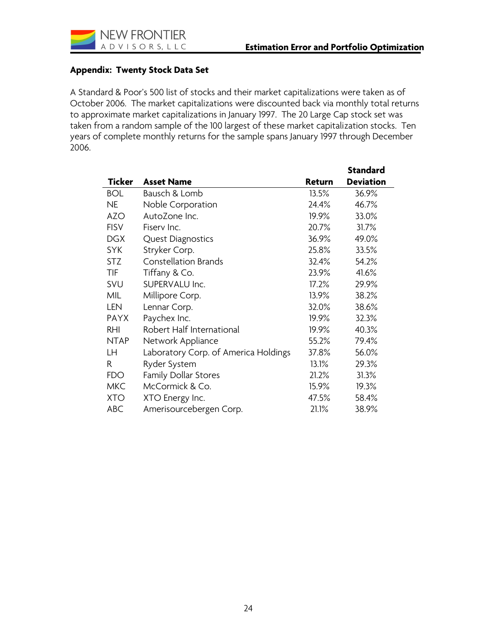

#### **Appendix: Twenty Stock Data Set**

A Standard & Poor's 500 list of stocks and their market capitalizations were taken as of October 2006. The market capitalizations were discounted back via monthly total returns to approximate market capitalizations in January 1997. The 20 Large Cap stock set was taken from a random sample of the 100 largest of these market capitalization stocks. Ten years of complete monthly returns for the sample spans January 1997 through December 2006.

|             |                                      |        | <b>Standard</b>  |  |  |  |
|-------------|--------------------------------------|--------|------------------|--|--|--|
| Ticker      | <b>Asset Name</b>                    | Return | <b>Deviation</b> |  |  |  |
| <b>BOL</b>  | Bausch & Lomb                        | 13.5%  | 36.9%            |  |  |  |
| <b>NE</b>   | Noble Corporation                    | 24.4%  | 46.7%            |  |  |  |
| <b>AZO</b>  | AutoZone Inc.                        | 19.9%  | 33.0%            |  |  |  |
| <b>FISV</b> | Fisery Inc.                          | 20.7%  | 31.7%            |  |  |  |
| <b>DGX</b>  | Quest Diagnostics                    | 36.9%  | 49.0%            |  |  |  |
| <b>SYK</b>  | Stryker Corp.                        | 25.8%  | 33.5%            |  |  |  |
| <b>STZ</b>  | Constellation Brands                 | 32.4%  | 54.2%            |  |  |  |
| TIF         | Tiffany & Co.                        | 23.9%  | 41.6%            |  |  |  |
| SVU         | SUPERVALU Inc.                       | 17.2%  | 29.9%            |  |  |  |
| MIL         | Millipore Corp.                      | 13.9%  | 38.2%            |  |  |  |
| LEN         | Lennar Corp.                         | 32.0%  | 38.6%            |  |  |  |
| <b>PAYX</b> | Paychex Inc.                         | 19.9%  | 32.3%            |  |  |  |
| <b>RHI</b>  | Robert Half International            | 19.9%  | 40.3%            |  |  |  |
| <b>NTAP</b> | Network Appliance                    | 55.2%  | 79.4%            |  |  |  |
| LН          | Laboratory Corp. of America Holdings | 37.8%  | 56.0%            |  |  |  |
| R.          | Ryder System                         | 13.1%  | 29.3%            |  |  |  |
| <b>FDO</b>  | Family Dollar Stores                 | 21.2%  | 31.3%            |  |  |  |
| <b>MKC</b>  | McCormick & Co.                      | 15.9%  | 19.3%            |  |  |  |
| <b>XTO</b>  | XTO Energy Inc.                      | 47.5%  | 58.4%            |  |  |  |
| <b>ABC</b>  | Amerisourcebergen Corp.              | 21.1%  | 38.9%            |  |  |  |